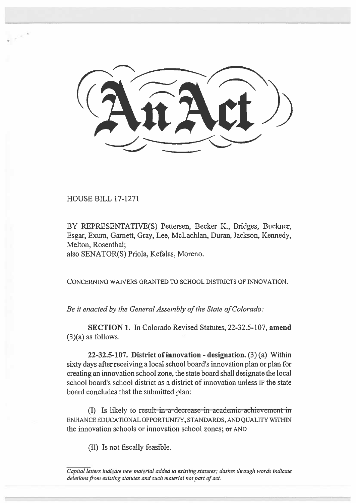..................,

HOUSE BILL 17-1271

BY REPRESENTATIVE(S) Pettersen, Becker K., Bridges, Buckner, Esgar, Exum, Garnett, Gray, Lee, McLachlan, Duran, Jackson, Kennedy, Melton, Rosenthal; also SENATOR(S) Priola, Kefalas, Moreno.

CONCERNING WAIVERS GRANTED TO SCHOOL DISTRICTS OF INNOVATION.

*Be it enacted by the General Assembly of the State of Colorado:* 

**SECTION 1.** In Colorado Revised Statutes, 22-32.5-107, **amend**  (3)(a) as follows:

**22-32.5-107. District of innovation - designation.** (3) (a) Within sixty days after receiving a local school board's innovation plan or plan for creating an innovation school zone, the state board shall designate the local school board's school district as a district of innovation unless IF the state board concludes that the submitted plan:

(I) Is likely to result in a-decrease-in-academic-achievement in ENHANCE EDUCATIONAL OPPORTUNITY, STANDARDS, AND QUALITY WITHIN the innovation schools or innovation school zones; or AND

**(II) Is not** fiscally feasible.

Capital letters indicate new material added to existing statutes; dashes through words indicate deletions from existing statutes and such material not part of act.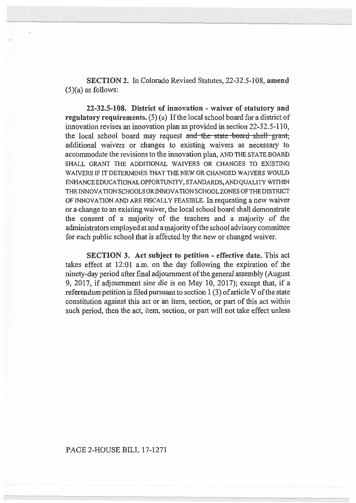SECTION 2. In Colorado Revised Statutes, 22-32.5-108, amend  $(5)(a)$  as follows:

**22-32.5-108. District of innovation - waiver of statutory and regulatory requirements.** (5) (a) If the local school board for a district of innovation revises an innovation plan as provided in section 22-32.5-110, the local school board may request and the state-board shall grant, additional waivers or changes to existing waivers as necessary to accommodate the revisions to the innovation plan, AND THE STATE BOARD SHALL GRANT THE ADDITIONAL WAIVERS OR CHANGES TO EXISTING WAIVERS IF IT DETERMINES THAT THE NEW OR CHANGED WAIVERS WOULD ENHANCE EDUCATIONAL OPPORTUNITY, STANDARDS, AND QUALITY WITHIN THE INNOVATION SCHOOLS OR INNOVATION SCHOOL ZONES OF THE DISTRICT OF INNOVATION AND ARE FISCALLY FEASIBLE. In requesting a new waiver or a change to an existing waiver, the local school board shall demonstrate the consent of a majority of the teachers and a majority of the administrators employed at and a majority ofthe school advisory committee for each public school that is affected by the new or changed waiver.

**SECTION 3. Act subject to petition - effective date.** This act takes effect at 12:01 a.m. on the day following the expiration of the ninety-day period after final adjournment of the general assembly (August 9, 2017, if adjournment sine die is on May 10, 2017); except that, if a referendum petition is filed pursuant to section 1 (3) of article V of the state constitution against this act or an item, section, or part of this act within such period, then the act, item, section, or part will not take effect unless